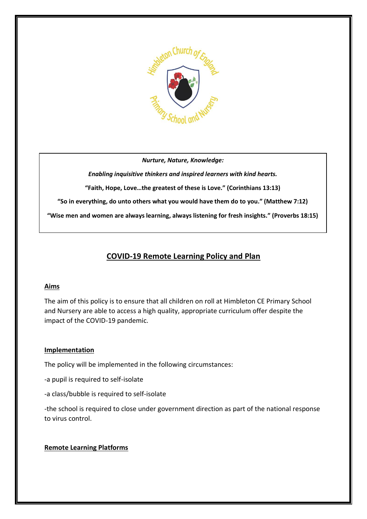

*Nurture, Nature, Knowledge:* 

*Enabling inquisitive thinkers and inspired learners with kind hearts.* **"Faith, Hope, Love…the greatest of these is Love." (Corinthians 13:13) "So in everything, do unto others what you would have them do to you." (Matthew 7:12) "Wise men and women are always learning, always listening for fresh insights." (Proverbs 18:15)**

# **COVID-19 Remote Learning Policy and Plan**

## **Aims**

The aim of this policy is to ensure that all children on roll at Himbleton CE Primary School and Nursery are able to access a high quality, appropriate curriculum offer despite the impact of the COVID-19 pandemic.

## **Implementation**

The policy will be implemented in the following circumstances:

- -a pupil is required to self-isolate
- -a class/bubble is required to self-isolate

-the school is required to close under government direction as part of the national response to virus control.

## **Remote Learning Platforms**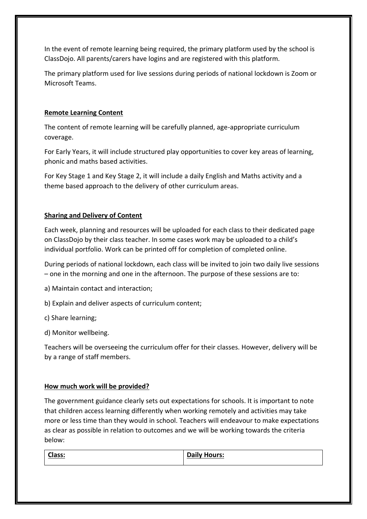In the event of remote learning being required, the primary platform used by the school is ClassDojo. All parents/carers have logins and are registered with this platform.

The primary platform used for live sessions during periods of national lockdown is Zoom or Microsoft Teams.

## **Remote Learning Content**

The content of remote learning will be carefully planned, age-appropriate curriculum coverage.

For Early Years, it will include structured play opportunities to cover key areas of learning, phonic and maths based activities.

For Key Stage 1 and Key Stage 2, it will include a daily English and Maths activity and a theme based approach to the delivery of other curriculum areas.

## **Sharing and Delivery of Content**

Each week, planning and resources will be uploaded for each class to their dedicated page on ClassDojo by their class teacher. In some cases work may be uploaded to a child's individual portfolio. Work can be printed off for completion of completed online.

During periods of national lockdown, each class will be invited to join two daily live sessions – one in the morning and one in the afternoon. The purpose of these sessions are to:

- a) Maintain contact and interaction;
- b) Explain and deliver aspects of curriculum content;
- c) Share learning;
- d) Monitor wellbeing.

Teachers will be overseeing the curriculum offer for their classes. However, delivery will be by a range of staff members.

## **How much work will be provided?**

The government guidance clearly sets out expectations for schools. It is important to note that children access learning differently when working remotely and activities may take more or less time than they would in school. Teachers will endeavour to make expectations as clear as possible in relation to outcomes and we will be working towards the criteria below:

| Class: | <b>Daily</b><br><b>Hours:</b> |
|--------|-------------------------------|
|--------|-------------------------------|